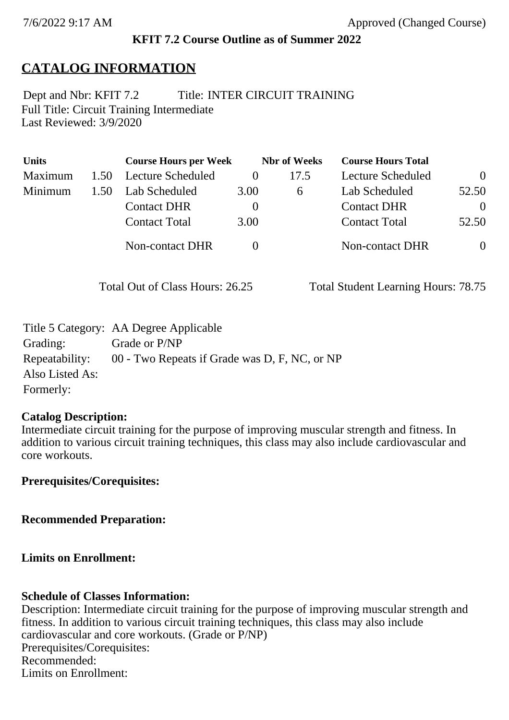## **KFIT 7.2 Course Outline as of Summer 2022**

# **CATALOG INFORMATION**

Full Title: Circuit Training Intermediate Last Reviewed: 3/9/2020 Dept and Nbr: KFIT 7.2 Title: INTER CIRCUIT TRAINING

| <b>Units</b> |      | <b>Course Hours per Week</b> |          | <b>Nbr</b> of Weeks | <b>Course Hours Total</b> |                |
|--------------|------|------------------------------|----------|---------------------|---------------------------|----------------|
| Maximum      | 1.50 | <b>Lecture Scheduled</b>     | $\theta$ | 17.5                | <b>Lecture Scheduled</b>  | $\theta$       |
| Minimum      | 1.50 | Lab Scheduled                | 3.00     | 6                   | Lab Scheduled             | 52.50          |
|              |      | <b>Contact DHR</b>           | $\theta$ |                     | <b>Contact DHR</b>        | $\Omega$       |
|              |      | <b>Contact Total</b>         | 3.00     |                     | <b>Contact Total</b>      | 52.50          |
|              |      | <b>Non-contact DHR</b>       |          |                     | Non-contact DHR           | $\overline{0}$ |

Total Out of Class Hours: 26.25 Total Student Learning Hours: 78.75

|                 | Title 5 Category: AA Degree Applicable        |
|-----------------|-----------------------------------------------|
| Grading:        | Grade or P/NP                                 |
| Repeatability:  | 00 - Two Repeats if Grade was D, F, NC, or NP |
| Also Listed As: |                                               |
| Formerly:       |                                               |

#### **Catalog Description:**

Intermediate circuit training for the purpose of improving muscular strength and fitness. In addition to various circuit training techniques, this class may also include cardiovascular and core workouts.

**Prerequisites/Corequisites:**

**Recommended Preparation:**

### **Limits on Enrollment:**

### **Schedule of Classes Information:**

Description: Intermediate circuit training for the purpose of improving muscular strength and fitness. In addition to various circuit training techniques, this class may also include cardiovascular and core workouts. (Grade or P/NP) Prerequisites/Corequisites: Recommended: Limits on Enrollment: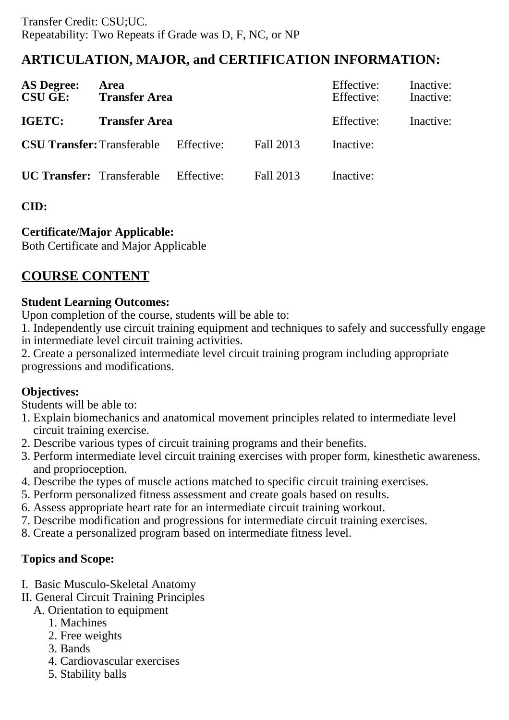## **ARTICULATION, MAJOR, and CERTIFICATION INFORMATION:**

| <b>AS Degree:</b><br><b>CSU GE:</b> | Area<br><b>Transfer Area</b> |            | Effective:<br>Effective: | Inactive:<br>Inactive: |  |
|-------------------------------------|------------------------------|------------|--------------------------|------------------------|--|
| <b>IGETC:</b>                       | <b>Transfer Area</b>         |            | Effective:               | Inactive:              |  |
| <b>CSU Transfer: Transferable</b>   |                              | Effective: | Fall 2013                | Inactive:              |  |
| <b>UC Transfer:</b> Transferable    |                              | Effective: | Fall 2013                | Inactive:              |  |

## **CID:**

## **Certificate/Major Applicable:**

[Both Certificate and Major Applicable](SR_ClassCheck.aspx?CourseKey=KFIT7.2)

# **COURSE CONTENT**

### **Student Learning Outcomes:**

Upon completion of the course, students will be able to:

1. Independently use circuit training equipment and techniques to safely and successfully engage in intermediate level circuit training activities.

2. Create a personalized intermediate level circuit training program including appropriate progressions and modifications.

### **Objectives:**

Students will be able to:

- 1. Explain biomechanics and anatomical movement principles related to intermediate level circuit training exercise.
- 2. Describe various types of circuit training programs and their benefits.
- 3. Perform intermediate level circuit training exercises with proper form, kinesthetic awareness, and proprioception.
- 4. Describe the types of muscle actions matched to specific circuit training exercises.
- 5. Perform personalized fitness assessment and create goals based on results.
- 6. Assess appropriate heart rate for an intermediate circuit training workout.
- 7. Describe modification and progressions for intermediate circuit training exercises.
- 8. Create a personalized program based on intermediate fitness level.

## **Topics and Scope:**

- I. Basic Musculo-Skeletal Anatomy
- II. General Circuit Training Principles
	- A. Orientation to equipment
		- 1. Machines
		- 2. Free weights
		- 3. Bands
		- 4. Cardiovascular exercises
		- 5. Stability balls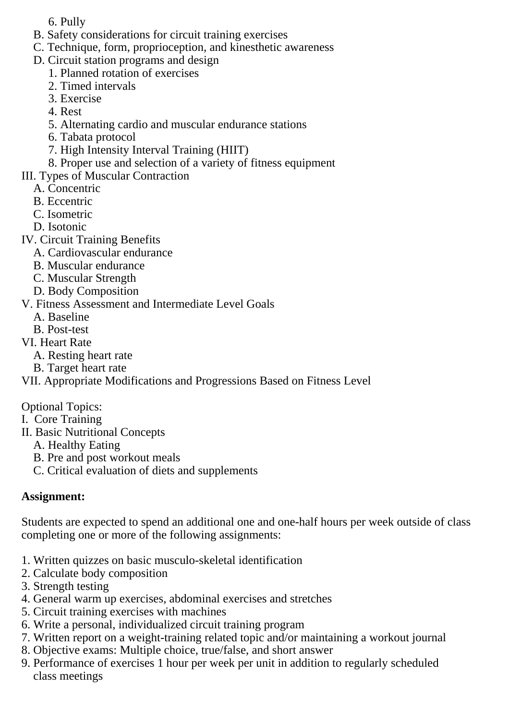- 6. Pully
- B. Safety considerations for circuit training exercises
- C. Technique, form, proprioception, and kinesthetic awareness
- D. Circuit station programs and design
	- 1. Planned rotation of exercises
	- 2. Timed intervals
	- 3. Exercise
	- 4. Rest
	- 5. Alternating cardio and muscular endurance stations
	- 6. Tabata protocol
	- 7. High Intensity Interval Training (HIIT)
	- 8. Proper use and selection of a variety of fitness equipment
- III. Types of Muscular Contraction
	- A. Concentric
	- B. Eccentric
	- C. Isometric
	- D. Isotonic
- IV. Circuit Training Benefits
	- A. Cardiovascular endurance
	- B. Muscular endurance
	- C. Muscular Strength
	- D. Body Composition
- V. Fitness Assessment and Intermediate Level Goals
	- A. Baseline
	- B. Post-test
- VI. Heart Rate
	- A. Resting heart rate
	- B. Target heart rate

VII. Appropriate Modifications and Progressions Based on Fitness Level

- Optional Topics:
- I. Core Training
- II. Basic Nutritional Concepts
	- A. Healthy Eating
	- B. Pre and post workout meals
	- C. Critical evaluation of diets and supplements

## **Assignment:**

Students are expected to spend an additional one and one-half hours per week outside of class completing one or more of the following assignments:

- 1. Written quizzes on basic musculo-skeletal identification
- 2. Calculate body composition
- 3. Strength testing
- 4. General warm up exercises, abdominal exercises and stretches
- 5. Circuit training exercises with machines
- 6. Write a personal, individualized circuit training program
- 7. Written report on a weight-training related topic and/or maintaining a workout journal
- 8. Objective exams: Multiple choice, true/false, and short answer
- 9. Performance of exercises 1 hour per week per unit in addition to regularly scheduled class meetings